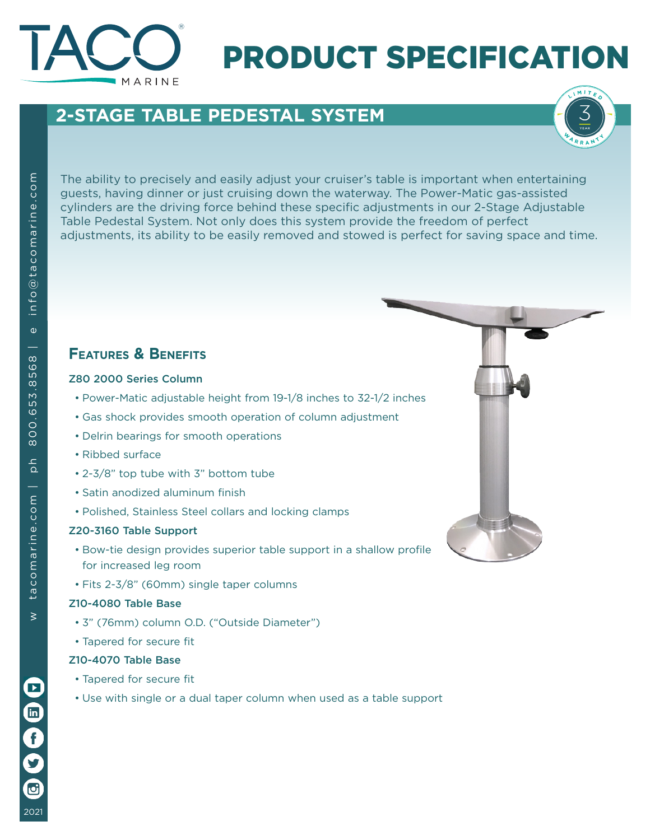

# PRODUCT SPECIFICATION

### **2-STAGE TABLE PEDESTAL SYSTEM**



The ability to precisely and easily adjust your cruiser's table is important when entertaining guests, having dinner or just cruising down the waterway. The Power-Matic gas-assisted cylinders are the driving force behind these specific adjustments in our 2-Stage Adjustable Table Pedestal System. Not only does this system provide the freedom of perfect adjustments, its ability to be easily removed and stowed is perfect for saving space and time.

### **Features & Benefits**

#### Z80 2000 Series Column

- Power-Matic adjustable height from 19-1/8 inches to 32-1/2 inches
- Gas shock provides smooth operation of column adjustment
- Delrin bearings for smooth operations
- Ribbed surface
- 2-3/8" top tube with 3" bottom tube
- Satin anodized aluminum finish
- Polished, Stainless Steel collars and locking clamps

#### Z20-3160 Table Support

- Bow-tie design provides superior table support in a shallow profile for increased leg room
- Fits 2-3/8" (60mm) single taper columns

#### Z10-4080 Table Base

- 3" (76mm) column O.D. ("Outside Diameter")
- Tapered for secure fit

#### Z10-4070 Table Base

- Tapered for secure fit
- Use with single or a dual taper column when used as a table support